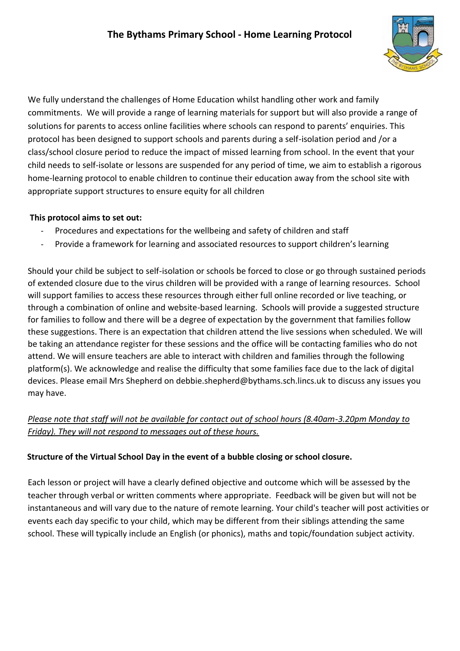

We fully understand the challenges of Home Education whilst handling other work and family commitments. We will provide a range of learning materials for support but will also provide a range of solutions for parents to access online facilities where schools can respond to parents' enquiries. This protocol has been designed to support schools and parents during a self-isolation period and /or a class/school closure period to reduce the impact of missed learning from school. In the event that your child needs to self-isolate or lessons are suspended for any period of time, we aim to establish a rigorous home-learning protocol to enable children to continue their education away from the school site with appropriate support structures to ensure equity for all children

## **This protocol aims to set out:**

- Procedures and expectations for the wellbeing and safety of children and staff
- Provide a framework for learning and associated resources to support children's learning

Should your child be subject to self-isolation or schools be forced to close or go through sustained periods of extended closure due to the virus children will be provided with a range of learning resources. School will support families to access these resources through either full online recorded or live teaching, or through a combination of online and website-based learning. Schools will provide a suggested structure for families to follow and there will be a degree of expectation by the government that families follow these suggestions. There is an expectation that children attend the live sessions when scheduled. We will be taking an attendance register for these sessions and the office will be contacting families who do not attend. We will ensure teachers are able to interact with children and families through the following platform(s). We acknowledge and realise the difficulty that some families face due to the lack of digital devices. Please email Mrs Shepherd on debbie.shepherd@bythams.sch.lincs.uk to discuss any issues you may have.

# *Please note that staff will not be available for contact out of school hours (8.40am-3.20pm Monday to Friday). They will not respond to messages out of these hours.*

## **Structure of the Virtual School Day in the event of a bubble closing or school closure.**

Each lesson or project will have a clearly defined objective and outcome which will be assessed by the teacher through verbal or written comments where appropriate. Feedback will be given but will not be instantaneous and will vary due to the nature of remote learning. Your child's teacher will post activities or events each day specific to your child, which may be different from their siblings attending the same school. These will typically include an English (or phonics), maths and topic/foundation subject activity.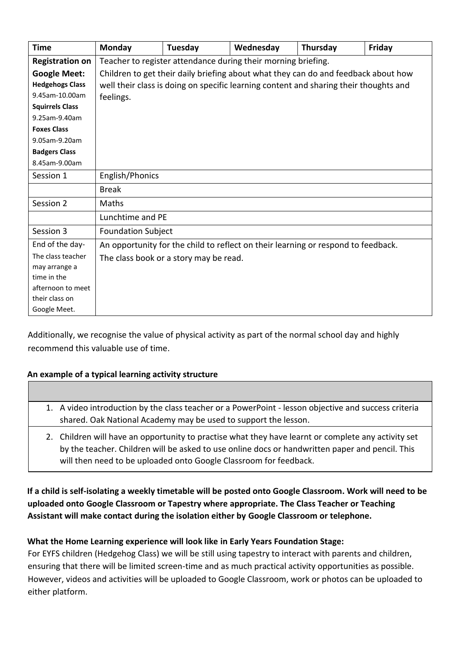| <b>Time</b>            | <b>Monday</b>                                                                         | Tuesday | Wednesday | Thursday | Friday |  |
|------------------------|---------------------------------------------------------------------------------------|---------|-----------|----------|--------|--|
| <b>Registration on</b> | Teacher to register attendance during their morning briefing.                         |         |           |          |        |  |
| <b>Google Meet:</b>    | Children to get their daily briefing about what they can do and feedback about how    |         |           |          |        |  |
| <b>Hedgehogs Class</b> | well their class is doing on specific learning content and sharing their thoughts and |         |           |          |        |  |
| 9.45am-10.00am         | feelings.                                                                             |         |           |          |        |  |
| <b>Squirrels Class</b> |                                                                                       |         |           |          |        |  |
| 9.25am-9.40am          |                                                                                       |         |           |          |        |  |
| <b>Foxes Class</b>     |                                                                                       |         |           |          |        |  |
| 9.05am-9.20am          |                                                                                       |         |           |          |        |  |
| <b>Badgers Class</b>   |                                                                                       |         |           |          |        |  |
| 8.45am-9.00am          |                                                                                       |         |           |          |        |  |
| Session 1              | English/Phonics                                                                       |         |           |          |        |  |
|                        | <b>Break</b>                                                                          |         |           |          |        |  |
| Session 2              | Maths                                                                                 |         |           |          |        |  |
|                        | Lunchtime and PE                                                                      |         |           |          |        |  |
| Session 3              | <b>Foundation Subject</b>                                                             |         |           |          |        |  |
| End of the day-        | An opportunity for the child to reflect on their learning or respond to feedback.     |         |           |          |        |  |
| The class teacher      | The class book or a story may be read.                                                |         |           |          |        |  |
| may arrange a          |                                                                                       |         |           |          |        |  |
| time in the            |                                                                                       |         |           |          |        |  |
| afternoon to meet      |                                                                                       |         |           |          |        |  |
| their class on         |                                                                                       |         |           |          |        |  |
| Google Meet.           |                                                                                       |         |           |          |        |  |

Additionally, we recognise the value of physical activity as part of the normal school day and highly recommend this valuable use of time.

#### **An example of a typical learning activity structure**

- 1. A video introduction by the class teacher or a PowerPoint lesson objective and success criteria shared. Oak National Academy may be used to support the lesson.
	- 2. Children will have an opportunity to practise what they have learnt or complete any activity set by the teacher. Children will be asked to use online docs or handwritten paper and pencil. This will then need to be uploaded onto Google Classroom for feedback.

## **If a child is self-isolating a weekly timetable will be posted onto Google Classroom. Work will need to be uploaded onto Google Classroom or Tapestry where appropriate. The Class Teacher or Teaching Assistant will make contact during the isolation either by Google Classroom or telephone.**

## **What the Home Learning experience will look like in Early Years Foundation Stage:**

For EYFS children (Hedgehog Class) we will be still using tapestry to interact with parents and children, ensuring that there will be limited screen-time and as much practical activity opportunities as possible. However, videos and activities will be uploaded to Google Classroom, work or photos can be uploaded to either platform.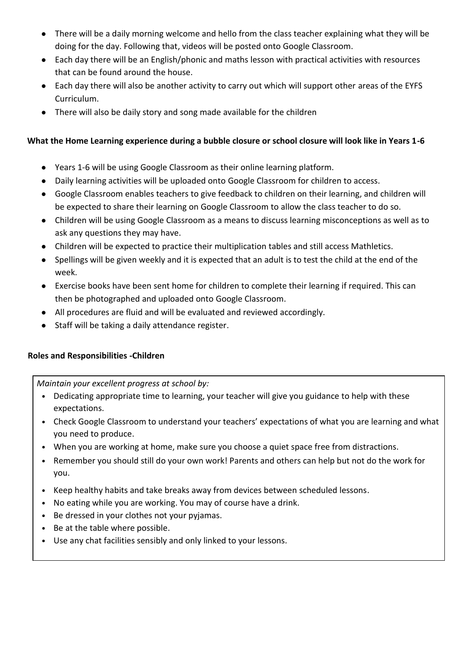- There will be a daily morning welcome and hello from the class teacher explaining what they will be doing for the day. Following that, videos will be posted onto Google Classroom.
- Each day there will be an English/phonic and maths lesson with practical activities with resources that can be found around the house.
- Each day there will also be another activity to carry out which will support other areas of the EYFS Curriculum.
- There will also be daily story and song made available for the children

## **What the Home Learning experience during a bubble closure or school closure will look like in Years 1-6**

- Years 1-6 will be using Google Classroom as their online learning platform.
- Daily learning activities will be uploaded onto Google Classroom for children to access.
- Google Classroom enables teachers to give feedback to children on their learning, and children will be expected to share their learning on Google Classroom to allow the class teacher to do so.
- Children will be using Google Classroom as a means to discuss learning misconceptions as well as to ask any questions they may have.
- Children will be expected to practice their multiplication tables and still access Mathletics.
- Spellings will be given weekly and it is expected that an adult is to test the child at the end of the week.
- Exercise books have been sent home for children to complete their learning if required. This can then be photographed and uploaded onto Google Classroom.
- All procedures are fluid and will be evaluated and reviewed accordingly.
- Staff will be taking a daily attendance register.

## **Roles and Responsibilities -Children**

*Maintain your excellent progress at school by:* 

- Dedicating appropriate time to learning, your teacher will give you guidance to help with these expectations.
- Check Google Classroom to understand your teachers' expectations of what you are learning and what you need to produce.
- When you are working at home, make sure you choose a quiet space free from distractions.
- Remember you should still do your own work! Parents and others can help but not do the work for you.
- Keep healthy habits and take breaks away from devices between scheduled lessons.
- No eating while you are working. You may of course have a drink.
- Be dressed in your clothes not your pyjamas.
- Be at the table where possible.
- Use any chat facilities sensibly and only linked to your lessons.